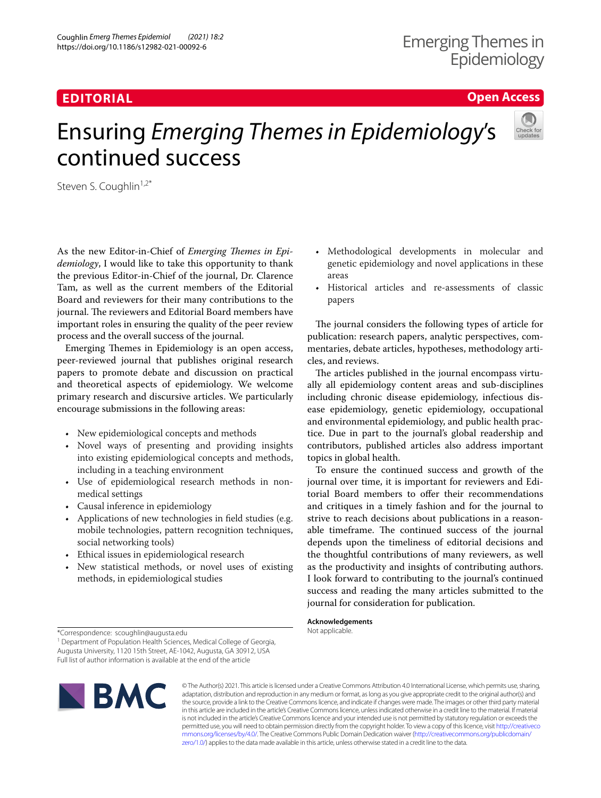# **EDITORIAL**

**Open Access**

# Ensuring *Emerging Themes in Epidemiology*'s continued success



As the new Editor-in-Chief of *Emerging Themes in Epidemiology*, I would like to take this opportunity to thank the previous Editor-in-Chief of the journal, Dr. Clarence Tam, as well as the current members of the Editorial Board and reviewers for their many contributions to the journal. The reviewers and Editorial Board members have important roles in ensuring the quality of the peer review process and the overall success of the journal.

Emerging Themes in Epidemiology is an open access, peer-reviewed journal that publishes original research papers to promote debate and discussion on practical and theoretical aspects of epidemiology. We welcome primary research and discursive articles. We particularly encourage submissions in the following areas:

- New epidemiological concepts and methods
- Novel ways of presenting and providing insights into existing epidemiological concepts and methods, including in a teaching environment
- Use of epidemiological research methods in nonmedical settings
- Causal inference in epidemiology
- Applications of new technologies in feld studies (e.g. mobile technologies, pattern recognition techniques, social networking tools)
- Ethical issues in epidemiological research
- New statistical methods, or novel uses of existing methods, in epidemiological studies
- Methodological developments in molecular and genetic epidemiology and novel applications in these areas
- Historical articles and re-assessments of classic papers

The journal considers the following types of article for publication: research papers, analytic perspectives, commentaries, debate articles, hypotheses, methodology articles, and reviews.

The articles published in the journal encompass virtually all epidemiology content areas and sub-disciplines including chronic disease epidemiology, infectious disease epidemiology, genetic epidemiology, occupational and environmental epidemiology, and public health practice. Due in part to the journal's global readership and contributors, published articles also address important topics in global health.

To ensure the continued success and growth of the journal over time, it is important for reviewers and Editorial Board members to offer their recommendations and critiques in a timely fashion and for the journal to strive to reach decisions about publications in a reasonable timeframe. The continued success of the journal depends upon the timeliness of editorial decisions and the thoughtful contributions of many reviewers, as well as the productivity and insights of contributing authors. I look forward to contributing to the journal's continued success and reading the many articles submitted to the journal for consideration for publication.

**Acknowledgements** Not applicable.

<sup>1</sup> Department of Population Health Sciences, Medical College of Georgia, Augusta University, 1120 15th Street, AE‑1042, Augusta, GA 30912, USA Full list of author information is available at the end of the article



© The Author(s) 2021. This article is licensed under a Creative Commons Attribution 4.0 International License, which permits use, sharing, adaptation, distribution and reproduction in any medium or format, as long as you give appropriate credit to the original author(s) and the source, provide a link to the Creative Commons licence, and indicate if changes were made. The images or other third party material in this article are included in the article's Creative Commons licence, unless indicated otherwise in a credit line to the material. If material is not included in the article's Creative Commons licence and your intended use is not permitted by statutory regulation or exceeds the permitted use, you will need to obtain permission directly from the copyright holder. To view a copy of this licence, visit [http://creativeco](http://creativecommons.org/licenses/by/4.0/) [mmons.org/licenses/by/4.0/.](http://creativecommons.org/licenses/by/4.0/) The Creative Commons Public Domain Dedication waiver ([http://creativecommons.org/publicdomain/](http://creativecommons.org/publicdomain/zero/1.0/) [zero/1.0/\)](http://creativecommons.org/publicdomain/zero/1.0/) applies to the data made available in this article, unless otherwise stated in a credit line to the data.

<sup>\*</sup>Correspondence: scoughlin@augusta.edu